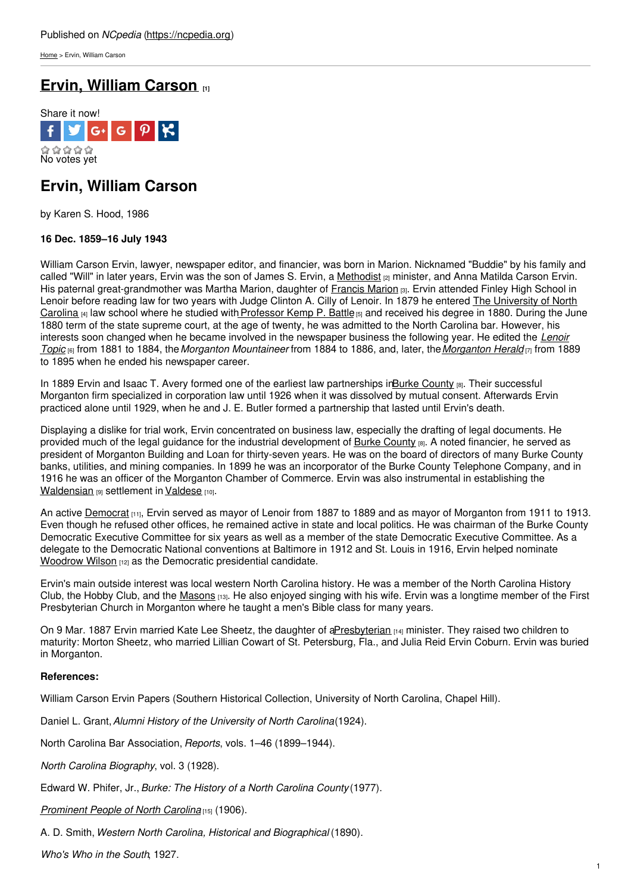[Home](https://ncpedia.org/) > Ervin, William Carson

# **Ervin, [William](https://ncpedia.org/biography/ervin-william-carson) Carson [1]**



## **Ervin, William Carson**

by Karen S. Hood, 1986

### **16 Dec. 1859–16 July 1943**

William Carson Ervin, lawyer, newspaper editor, and financier, was born in Marion. Nicknamed "Buddie" by his family and called "Will" in later years, Ervin was the son of James S. Ervin, a [Methodist](https://ncpedia.org/methodist-church) <sub>[2]</sub> minister, and Anna Matilda Carson Ervin. His paternal great-grandmother was Martha [Marion,](http://www.social9.com) daughter of [Francis](http://www.smithsonianmag.com/history-archaeology/biography/fox.html) Marion [3]. Ervin attended Finley High School in Lenoir before reading law for two years with Judge Clinton A. Cilly of Lenoir. In 1879 he entered The University of North Carolina  $[4]$  law school where he studied with Professor Kemp P. Battle  $[5]$  and received his degree in 1880. During the June 1880 term of the state supreme court, at the age of twenty, he was admitted to the North Carolina bar. However, his interests soon changed when he became involved in the [newspaper](http://chroniclingamerica.loc.gov/lccn/sn92073195/) business the following year. He edited the *Lenoir Topic* [6] from 1881 to 1884, the*Morganton Mountaineer* from 1884 to 1886, and, later, the*[Morganton](http://chroniclingamerica.loc.gov/lccn/sn91099173/) Herald* [7] from 1889 to 1895 when he ended his newspaper career.

In 1889 Ervin and Isaac T. Avery formed one of the earliest law partnerships inBurke [County](https://ncpedia.org/geography/burke) [8]. Their successful Morganton firm specialized in corporation law until 1926 when it was dissolved by mutual consent. Afterwards Ervin practiced alone until 1929, when he and J. E. Butler formed a partnership that lasted until Ervin's death.

Displaying a dislike for trial work, Ervin concentrated on business law, especially the drafting of legal documents. He provided much of the legal guidance for the industrial development of Burke [County](https://ncpedia.org/geography/burke) [8]. A noted financier, he served as president of Morganton Building and Loan for thirty-seven years. He was on the board of directors of many Burke County banks, utilities, and mining companies. In 1899 he was an incorporator of the Burke County Telephone Company, and in 1916 he was an officer of the Morganton Chamber of Commerce. Ervin was also instrumental in establishing the [Waldensian](https://ncpedia.org/waldensians) [9] settlement in [Valdese](https://ncpedia.org/geography/valdese) [10].

An active [Democrat](https://ncpedia.org/democratic-party) [11], Ervin served as mayor of Lenoir from 1887 to 1889 and as mayor of Morganton from 1911 to 1913. Even though he refused other offices, he remained active in state and local politics. He was chairman of the Burke County Democratic Executive Committee for six years as well as a member of the state Democratic Executive Committee. As a delegate to the Democratic National conventions at Baltimore in 1912 and St. Louis in 1916, Ervin helped nominate [Woodrow](https://www.whitehouse.gov/about/presidents/woodrowwilson) Wilson [12] as the Democratic presidential candidate.

Ervin's main outside interest was local western North Carolina history. He was a member of the North Carolina History Club, the Hobby Club, and the [Masons](https://ncpedia.org/freemasons) [13]. He also enjoyed singing with his wife. Ervin was a longtime member of the First Presbyterian Church in Morganton where he taught a men's Bible class for many years.

On 9 Mar. 1887 Ervin married Kate Lee Sheetz, the daughter of [aPresbyterian](https://ncpedia.org/presbyterian-church-0) [14] minister. They raised two children to maturity: Morton Sheetz, who married Lillian Cowart of St. Petersburg, Fla., and Julia Reid Ervin Coburn. Ervin was buried in Morganton.

#### **References:**

William Carson Ervin Papers (Southern Historical Collection, University of North Carolina, Chapel Hill).

Daniel L. Grant,*Alumni History of the University of North Carolina*(1924).

North Carolina Bar Association, *Reports*, vols. 1–46 (1899–1944).

*North Carolina Biography*, vol. 3 (1928).

Edward W. Phifer, Jr.,*Burke: The History of a North Carolina County* (1977).

*[Prominent](http://digital.ncdcr.gov/cdm/compoundobject/collection/p249901coll37/id/4832/rec/7) People of North Carolina* [15] (1906).

A. D. Smith, *Western North Carolina, Historical and Biographical* (1890).

*Who's Who in the South*, 1927.